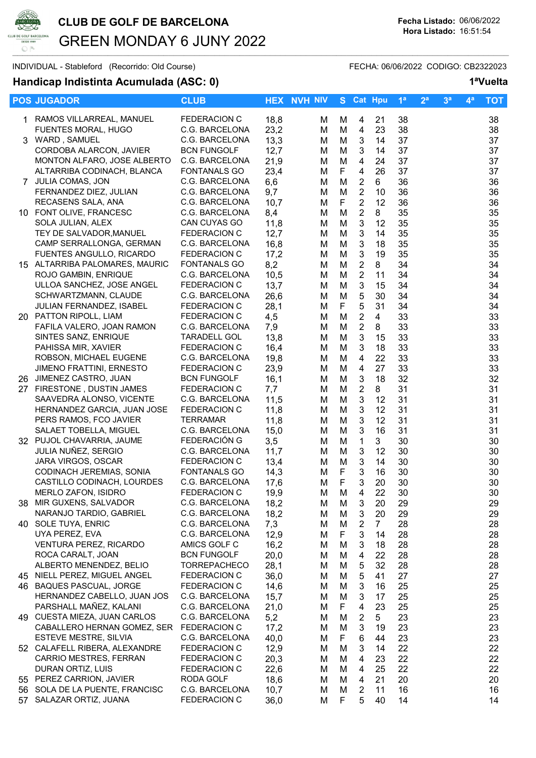

# CLUB DE GOLF DE BARCELONA Fecha Listado: 06/06/2022 GREEN MONDAY 6 JUNY 2022  $\Box$  |  $\Box$  |  $\Box$  |  $\Box$  |  $\Box$  |  $\Box$  |  $\Box$  |  $\Box$  |  $\Box$  |  $\Box$  |  $\Box$  |  $\Box$  |  $\Box$  |  $\Box$  |  $\Box$  |  $\Box$  |  $\Box$  |  $\Box$  |  $\Box$  |  $\Box$  |  $\Box$  |  $\Box$  |  $\Box$  |  $\Box$  |  $\Box$  |  $\Box$  |  $\Box$  |  $\Box$  |  $\Box$  |  $\Box$  |  $\Box$  |  $\Box$

### Handicap Indistinta Acumulada (ASC: 0) 1<sup>a</sup>Vuelta

| FEDERACION C<br>38<br>1 RAMOS VILLARREAL, MANUEL<br>18,8<br>21<br>М<br>м<br>4<br><b>FUENTES MORAL, HUGO</b><br>C.G. BARCELONA<br>23,2<br>23<br>38<br>M<br>4<br>M<br>3 WARD, SAMUEL<br>13,3<br>$\mathbf{3}$<br>37<br>C.G. BARCELONA<br>M<br>14<br>M<br>CORDOBA ALARCON, JAVIER<br><b>BCN FUNGOLF</b><br>14 | 38<br>38 |
|-----------------------------------------------------------------------------------------------------------------------------------------------------------------------------------------------------------------------------------------------------------------------------------------------------------|----------|
|                                                                                                                                                                                                                                                                                                           |          |
|                                                                                                                                                                                                                                                                                                           |          |
|                                                                                                                                                                                                                                                                                                           | 37       |
|                                                                                                                                                                                                                                                                                                           | 37       |
| $\mathfrak{S}$<br>12,7<br>37<br>M<br>M<br>$\overline{4}$<br>MONTON ALFARO, JOSE ALBERTO<br>21,9<br>M<br>24<br>37<br>C.G. BARCELONA                                                                                                                                                                        | 37       |
| M<br>F<br>$\overline{4}$<br>26<br>37<br>ALTARRIBA CODINACH, BLANCA<br><b>FONTANALS GO</b>                                                                                                                                                                                                                 |          |
| 23,4<br>M                                                                                                                                                                                                                                                                                                 | 37       |
| $\sqrt{2}$<br>6,6<br>M<br>6<br>36<br>7 JULIA COMAS, JON<br>C.G. BARCELONA<br>M                                                                                                                                                                                                                            | 36       |
| $\sqrt{2}$<br>9,7<br>M<br>36<br>FERNANDEZ DIEZ, JULIAN<br>C.G. BARCELONA<br>10<br>M                                                                                                                                                                                                                       | 36       |
| F<br>$\overline{2}$<br>10,7<br>12<br>RECASENS SALA, ANA<br>C.G. BARCELONA<br>36<br>M                                                                                                                                                                                                                      | 36       |
| $\overline{2}$<br>10 FONT OLIVE, FRANCESC<br>C.G. BARCELONA<br>8,4<br>8<br>35<br>M<br>M                                                                                                                                                                                                                   | 35       |
| 11,8<br>3<br>35<br>SOLA JULIAN, ALEX<br>CAN CUYAS GO<br>M<br>12<br>M                                                                                                                                                                                                                                      | 35       |
| $\mathbf{3}$<br>35<br>TEY DE SALVADOR, MANUEL<br><b>FEDERACION C</b><br>12,7<br>M<br>14<br>M                                                                                                                                                                                                              | 35       |
| 35<br>16,8<br>$\mathbf{3}$<br>CAMP SERRALLONGA, GERMAN<br>C.G. BARCELONA<br>M<br>M<br>18                                                                                                                                                                                                                  | 35       |
| 3<br>19<br>35<br>FUENTES ANGULLO, RICARDO<br><b>FEDERACION C</b><br>17,2<br>M<br>м                                                                                                                                                                                                                        | 35       |
| $\overline{c}$<br>34<br>8,2<br>8<br>15 ALTARRIBA PALOMARES, MAURIC<br><b>FONTANALS GO</b><br>M<br>M                                                                                                                                                                                                       | 34       |
| $\overline{2}$<br>34<br>10,5<br>M<br>11<br>ROJO GAMBIN, ENRIQUE<br>C.G. BARCELONA<br>M                                                                                                                                                                                                                    | 34       |
| $\sqrt{3}$<br>34<br>ULLOA SANCHEZ, JOSE ANGEL<br><b>FEDERACION C</b><br>13,7<br>M<br>M<br>15                                                                                                                                                                                                              | 34       |
| $\mathbf 5$<br>M<br>30<br>34<br>SCHWARTZMANN, CLAUDE<br>C.G. BARCELONA<br>26,6<br>M                                                                                                                                                                                                                       | 34       |
| 5<br>F<br>31<br>34<br>JULIAN FERNANDEZ, ISABEL<br><b>FEDERACION C</b><br>28,1<br>M                                                                                                                                                                                                                        | 34       |
| $\boldsymbol{2}$<br>33<br>4,5<br>M<br>$\overline{4}$<br>20 PATTON RIPOLL, LIAM<br><b>FEDERACION C</b><br>M                                                                                                                                                                                                | 33       |
| $\boldsymbol{2}$<br>FAFILA VALERO, JOAN RAMON<br>C.G. BARCELONA<br>7,9<br>8<br>33<br>M<br>м                                                                                                                                                                                                               | 33       |
| $\mathbf{3}$<br>SINTES SANZ, ENRIQUE<br><b>TARADELL GOL</b><br>13,8<br>M<br>33<br>M<br>15                                                                                                                                                                                                                 | 33       |
| 16,4<br>3<br>33<br>PAHISSA MIR, XAVIER<br><b>FEDERACION C</b><br>M<br>18<br>M                                                                                                                                                                                                                             | 33       |
| 19,8<br>22<br>33<br>ROBSON, MICHAEL EUGENE<br>C.G. BARCELONA<br>M<br>4<br>M                                                                                                                                                                                                                               | 33       |
| <b>JIMENO FRATTINI, ERNESTO</b><br><b>FEDERACION C</b><br>23,9<br>27<br>33<br>M<br>4<br>M                                                                                                                                                                                                                 | 33       |
| JIMENEZ CASTRO, JUAN<br>3<br>18<br>32<br><b>BCN FUNGOLF</b><br>16,1<br>M<br>м<br>26                                                                                                                                                                                                                       | 32       |
| 31<br>27 FIRESTONE, DUSTIN JAMES<br>$\overline{c}$<br>8<br><b>FEDERACION C</b><br>7,7<br>M<br>M                                                                                                                                                                                                           | 31       |
| $\mathbf{3}$<br>31<br>SAAVEDRA ALONSO, VICENTE<br>11,5<br>M<br>12<br>C.G. BARCELONA<br>M                                                                                                                                                                                                                  | 31       |
| $\sqrt{3}$<br>12<br>31<br>HERNANDEZ GARCIA, JUAN JOSE<br><b>FEDERACION C</b><br>11,8<br>M<br>M                                                                                                                                                                                                            | 31       |
| $\mathbf{3}$<br>31<br>PERS RAMOS, FCO JAVIER<br>11,8<br>M<br>12<br><b>TERRAMAR</b><br>M                                                                                                                                                                                                                   | 31       |
| $\mathbf{3}$<br>SALAET TOBELLA, MIGUEL<br>15,0<br>M<br>16<br>31<br>C.G. BARCELONA<br>M                                                                                                                                                                                                                    | 31       |
| FEDERACIÓN G<br>3,5<br>$\mathbf{1}$<br>3<br>32 PUJOL CHAVARRIA, JAUME<br>30<br>M<br>M                                                                                                                                                                                                                     | 30       |
| JULIA NUÑEZ, SERGIO<br>$\mathbf{3}$<br>C.G. BARCELONA<br>11,7<br>M<br>12<br>30<br>M                                                                                                                                                                                                                       | 30       |
| JARA VIRGOS, OSCAR<br>13,4<br>$\mathbf{3}$<br><b>FEDERACION C</b><br>M<br>14<br>30<br>M                                                                                                                                                                                                                   | 30       |
| F<br>CODINACH JEREMIAS, SONIA<br>3<br><b>FONTANALS GO</b><br>14,3<br>30<br>M<br>16                                                                                                                                                                                                                        | 30       |
| F<br>3<br>CASTILLO CODINACH, LOURDES<br>C.G. BARCELONA<br>20<br>17,6<br>M<br>30                                                                                                                                                                                                                           | 30       |
| <b>FEDERACION C</b><br>4<br>22<br>MERLO ZAFON, ISIDRO<br>19,9<br>М<br>M<br>30                                                                                                                                                                                                                             | 30       |
| 38 MIR GUXENS, SALVADOR<br>C.G. BARCELONA<br>18,2<br>3<br>M<br>M<br>20<br>29                                                                                                                                                                                                                              | 29       |
| NARANJO TARDIO, GABRIEL<br>C.G. BARCELONA<br>18,2<br>20<br>M<br>M<br>3<br>29                                                                                                                                                                                                                              | 29       |
| 40 SOLE TUYA, ENRIC<br>C.G. BARCELONA<br>7,3<br>$\overline{2}$<br>28<br>M<br>$\overline{7}$<br>M                                                                                                                                                                                                          | 28       |
| F<br>$\mathbf{3}$<br>28<br>UYA PEREZ, EVA<br>C.G. BARCELONA<br>12,9<br>14<br>M                                                                                                                                                                                                                            | 28       |
| AMICS GOLF C<br>16,2<br>28<br><b>VENTURA PEREZ, RICARDO</b><br>M<br>3<br>18<br>M                                                                                                                                                                                                                          | 28       |
| ROCA CARALT, JOAN<br><b>BCN FUNGOLF</b><br>20,0<br>$\overline{\mathcal{A}}$<br>28<br>M<br>22<br>м                                                                                                                                                                                                         | 28       |
| $\mathbf 5$<br>32<br>28<br>ALBERTO MENENDEZ, BELIO<br><b>TORREPACHECO</b><br>28,1<br>M<br>M                                                                                                                                                                                                               | 28       |
| 45 NIELL PEREZ, MIGUEL ANGEL<br>36,0<br>5<br><b>FEDERACION C</b><br>41<br>27<br>M<br>M                                                                                                                                                                                                                    | 27       |
| 46 BAQUES PASCUAL, JORGE<br><b>FEDERACION C</b><br>14,6<br>3<br>25<br>M<br>16<br>м                                                                                                                                                                                                                        | 25       |
| HERNANDEZ CABELLO, JUAN JOS<br>C.G. BARCELONA<br>15,7<br>M<br>3<br>17<br>25<br>M                                                                                                                                                                                                                          | 25       |
| PARSHALL MAÑEZ, KALANI<br>C.G. BARCELONA<br>21,0<br>F<br>4<br>23<br>25<br>м                                                                                                                                                                                                                               | 25       |
| 49 CUESTA MIEZA, JUAN CARLOS<br>5,2<br>C.G. BARCELONA<br>M<br>$\overline{2}$<br>5<br>23<br>M                                                                                                                                                                                                              | 23       |
| CABALLERO HERNAN GOMEZ, SER<br><b>FEDERACION C</b><br>17,2<br>M<br>3<br>23<br>M<br>19                                                                                                                                                                                                                     | 23       |
| ESTEVE MESTRE, SILVIA<br>C.G. BARCELONA<br>40,0<br>F<br>23<br>M<br>6<br>44                                                                                                                                                                                                                                | 23       |
| M<br>22<br>52 CALAFELL RIBERA, ALEXANDRE<br>FEDERACION C<br>12,9<br>3<br>14<br>M                                                                                                                                                                                                                          | 22       |
| CARRIO MESTRES, FERRAN<br>FEDERACION C<br>20,3<br>M<br>4<br>23<br>22<br>M                                                                                                                                                                                                                                 | 22       |
| DURAN ORTIZ, LUIS<br>22,6<br>25<br>22<br><b>FEDERACION C</b><br>M<br>4<br>M                                                                                                                                                                                                                               | 22       |
| 55 PEREZ CARRION, JAVIER<br>RODA GOLF<br>$\overline{4}$<br>21<br>20<br>18,6<br>M<br>M                                                                                                                                                                                                                     | 20       |
| 56 SOLA DE LA PUENTE, FRANCISC<br>C.G. BARCELONA<br>10,7<br>M<br>$\overline{2}$<br>11<br>16<br>м                                                                                                                                                                                                          | 16       |
| F<br>57 SALAZAR ORTIZ, JUANA<br>5<br><b>FEDERACION C</b><br>36,0<br>M<br>40<br>14                                                                                                                                                                                                                         | 14       |